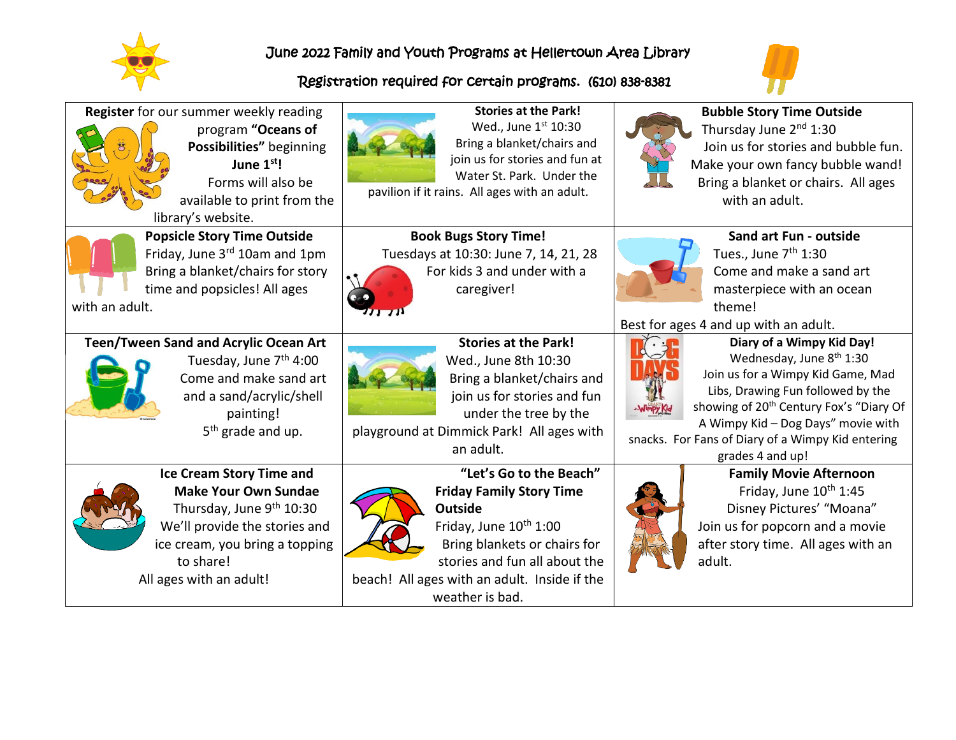

## June 2022 Family and Youth Programs at Hellertown Area Library

## Registration required for certain programs. (610) 838-8381



| Register for our summer weekly reading<br>program "Oceans of<br>Possibilities" beginning<br>June 1 <sup>st</sup> !<br>Forms will also be<br>available to print from the<br>library's website.                     | <b>Stories at the Park!</b><br>Wed., June 1st 10:30<br>Bring a blanket/chairs and<br>join us for stories and fun at<br>Water St. Park. Under the<br>pavilion if it rains. All ages with an adult.                                                      | <b>Bubble Story Time Outside</b><br>Thursday June 2 <sup>nd</sup> 1:30<br>Join us for stories and bubble fun.<br>Make your own fancy bubble wand!<br>Bring a blanket or chairs. All ages<br>with an adult.                                                                                                        |
|-------------------------------------------------------------------------------------------------------------------------------------------------------------------------------------------------------------------|--------------------------------------------------------------------------------------------------------------------------------------------------------------------------------------------------------------------------------------------------------|-------------------------------------------------------------------------------------------------------------------------------------------------------------------------------------------------------------------------------------------------------------------------------------------------------------------|
| <b>Popsicle Story Time Outside</b><br>Friday, June 3rd 10am and 1pm<br>Bring a blanket/chairs for story<br>time and popsicles! All ages<br>with an adult.                                                         | <b>Book Bugs Story Time!</b><br>Tuesdays at 10:30: June 7, 14, 21, 28<br>For kids 3 and under with a<br>caregiver!                                                                                                                                     | Sand art Fun - outside<br>Tues., June 7 <sup>th</sup> 1:30<br>Come and make a sand art<br>masterpiece with an ocean<br>theme!<br>Best for ages 4 and up with an adult.                                                                                                                                            |
| <b>Teen/Tween Sand and Acrylic Ocean Art</b><br>Tuesday, June 7 <sup>th</sup> 4:00<br>Come and make sand art<br>and a sand/acrylic/shell<br>painting!<br>5 <sup>th</sup> grade and up.                            | <b>Stories at the Park!</b><br>Wed., June 8th 10:30<br>Bring a blanket/chairs and<br>join us for stories and fun<br>under the tree by the<br>playground at Dimmick Park! All ages with<br>an adult.                                                    | Diary of a Wimpy Kid Day!<br>Wednesday, June 8 <sup>th</sup> 1:30<br>Join us for a Wimpy Kid Game, Mad<br>Libs, Drawing Fun followed by the<br>showing of 20 <sup>th</sup> Century Fox's "Diary Of<br>A Wimpy Kid - Dog Days" movie with<br>snacks. For Fans of Diary of a Wimpy Kid entering<br>grades 4 and up! |
| <b>Ice Cream Story Time and</b><br><b>Make Your Own Sundae</b><br>Thursday, June 9 <sup>th</sup> 10:30<br>We'll provide the stories and<br>ice cream, you bring a topping<br>to share!<br>All ages with an adult! | "Let's Go to the Beach"<br><b>Friday Family Story Time</b><br><b>Outside</b><br>Friday, June 10 <sup>th</sup> 1:00<br>Bring blankets or chairs for<br>stories and fun all about the<br>beach! All ages with an adult. Inside if the<br>weather is bad. | <b>Family Movie Afternoon</b><br>Friday, June 10 <sup>th</sup> 1:45<br>Disney Pictures' "Moana"<br>Join us for popcorn and a movie<br>after story time. All ages with an<br>adult.                                                                                                                                |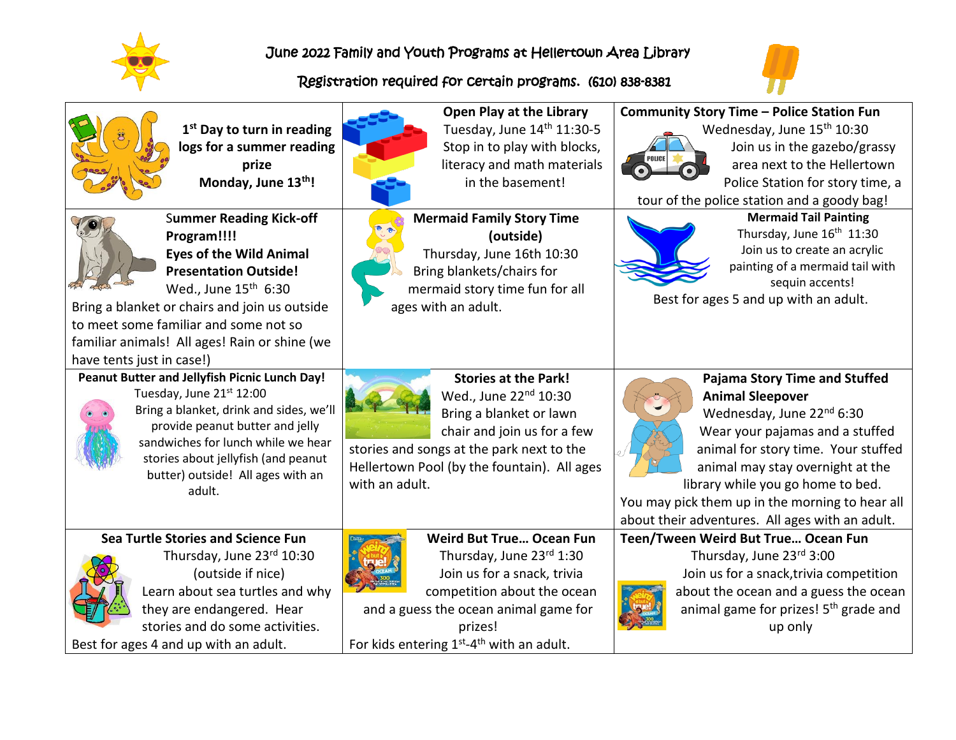

June 2022 Family and Youth Programs at Hellertown Area Library

## Registration required for certain programs. (610) 838-8381



| 1 <sup>st</sup> Day to turn in reading<br>logs for a summer reading<br>prize<br>Monday, June 13th!<br><b>Summer Reading Kick-off</b>                                                                                                                                                      | Open Play at the Library<br>Tuesday, June 14th 11:30-5<br>Stop in to play with blocks,<br>literacy and math materials<br>in the basement!<br><b>Mermaid Family Story Time</b>                                                                      | <b>Community Story Time - Police Station Fun</b><br>Wednesday, June 15 <sup>th</sup> 10:30<br>Join us in the gazebo/grassy<br>area next to the Hellertown<br>Police Station for story time, a<br>tour of the police station and a goody bag!<br><b>Mermaid Tail Painting</b>                                                                          |
|-------------------------------------------------------------------------------------------------------------------------------------------------------------------------------------------------------------------------------------------------------------------------------------------|----------------------------------------------------------------------------------------------------------------------------------------------------------------------------------------------------------------------------------------------------|-------------------------------------------------------------------------------------------------------------------------------------------------------------------------------------------------------------------------------------------------------------------------------------------------------------------------------------------------------|
| Program!!!!<br><b>Eyes of the Wild Animal</b><br><b>Presentation Outside!</b><br>Wed., June 15 <sup>th</sup> 6:30<br>Bring a blanket or chairs and join us outside<br>to meet some familiar and some not so<br>familiar animals! All ages! Rain or shine (we<br>have tents just in case!) | (outside)<br>Thursday, June 16th 10:30<br>Bring blankets/chairs for<br>mermaid story time fun for all<br>ages with an adult.                                                                                                                       | Thursday, June 16 <sup>th</sup> 11:30<br>Join us to create an acrylic<br>painting of a mermaid tail with<br>sequin accents!<br>Best for ages 5 and up with an adult.                                                                                                                                                                                  |
| Peanut Butter and Jellyfish Picnic Lunch Day!<br>Tuesday, June 21st 12:00<br>Bring a blanket, drink and sides, we'll<br>provide peanut butter and jelly<br>sandwiches for lunch while we hear<br>stories about jellyfish (and peanut<br>butter) outside! All ages with an<br>adult.       | <b>Stories at the Park!</b><br>Wed., June 22nd 10:30<br>Bring a blanket or lawn<br>chair and join us for a few<br>stories and songs at the park next to the<br>Hellertown Pool (by the fountain). All ages<br>with an adult.                       | <b>Pajama Story Time and Stuffed</b><br><b>Animal Sleepover</b><br>Wednesday, June 22nd 6:30<br>Wear your pajamas and a stuffed<br>animal for story time. Your stuffed<br>animal may stay overnight at the<br>library while you go home to bed.<br>You may pick them up in the morning to hear all<br>about their adventures. All ages with an adult. |
| Sea Turtle Stories and Science Fun<br>Thursday, June 23rd 10:30<br>(outside if nice)<br>Learn about sea turtles and why<br>they are endangered. Hear<br>stories and do some activities.<br>Best for ages 4 and up with an adult.                                                          | <b>Weird But True Ocean Fun</b><br>Thursday, June 23rd 1:30<br>Join us for a snack, trivia<br>competition about the ocean<br>and a guess the ocean animal game for<br>prizes!<br>For kids entering 1 <sup>st</sup> -4 <sup>th</sup> with an adult. | Teen/Tween Weird But True Ocean Fun<br>Thursday, June 23rd 3:00<br>Join us for a snack, trivia competition<br>about the ocean and a guess the ocean<br>animal game for prizes! 5 <sup>th</sup> grade and<br>up only                                                                                                                                   |